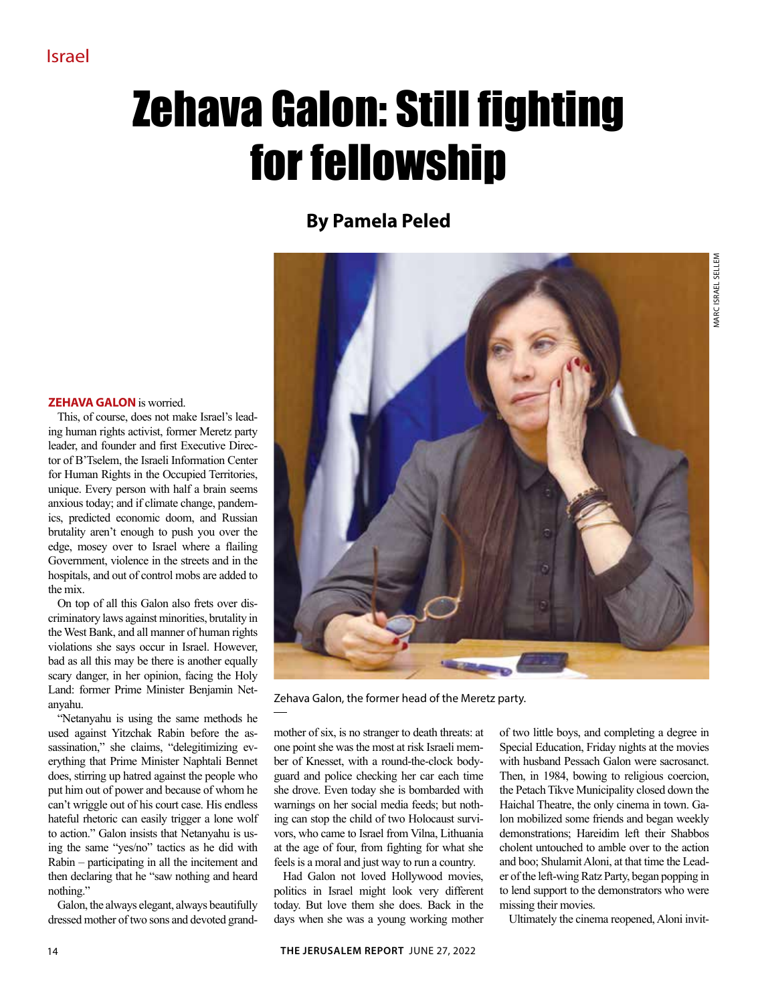## Zehava Galon: Still fighting for fellowship

## **By Pamela Peled**

## **Zehava Galon** is worried.

This, of course, does not make Israel's leading human rights activist, former Meretz party leader, and founder and first Executive Director of B'Tselem, the Israeli Information Center for Human Rights in the Occupied Territories, unique. Every person with half a brain seems anxious today; and if climate change, pandemics, predicted economic doom, and Russian brutality aren't enough to push you over the edge, mosey over to Israel where a flailing Government, violence in the streets and in the hospitals, and out of control mobs are added to the mix.

On top of all this Galon also frets over discriminatory laws against minorities, brutality in the West Bank, and all manner of human rights violations she says occur in Israel. However, bad as all this may be there is another equally scary danger, in her opinion, facing the Holy Land: former Prime Minister Benjamin Netanyahu.

"Netanyahu is using the same methods he used against Yitzchak Rabin before the assassination," she claims, "delegitimizing everything that Prime Minister Naphtali Bennet does, stirring up hatred against the people who put him out of power and because of whom he can't wriggle out of his court case. His endless hateful rhetoric can easily trigger a lone wolf to action." Galon insists that Netanyahu is using the same "yes/no" tactics as he did with Rabin – participating in all the incitement and then declaring that he "saw nothing and heard nothing."

Galon, the always elegant, always beautifully dressed mother of two sons and devoted grand-



Zehava Galon, the former head of the Meretz party.

mother of six, is no stranger to death threats: at one point she was the most at risk Israeli member of Knesset, with a round-the-clock bodyguard and police checking her car each time she drove. Even today she is bombarded with warnings on her social media feeds; but nothing can stop the child of two Holocaust survivors, who came to Israel from Vilna, Lithuania at the age of four, from fighting for what she feels is a moral and just way to run a country.

Had Galon not loved Hollywood movies, politics in Israel might look very different today. But love them she does. Back in the days when she was a young working mother

of two little boys, and completing a degree in Special Education, Friday nights at the movies with husband Pessach Galon were sacrosanct. Then, in 1984, bowing to religious coercion, the Petach Tikve Municipality closed down the Haichal Theatre, the only cinema in town. Galon mobilized some friends and began weekly demonstrations; Hareidim left their Shabbos cholent untouched to amble over to the action and boo; Shulamit Aloni, at that time the Leader of the left-wing Ratz Party, began popping in to lend support to the demonstrators who were missing their movies.

Ultimately the cinema reopened, Aloni invit-